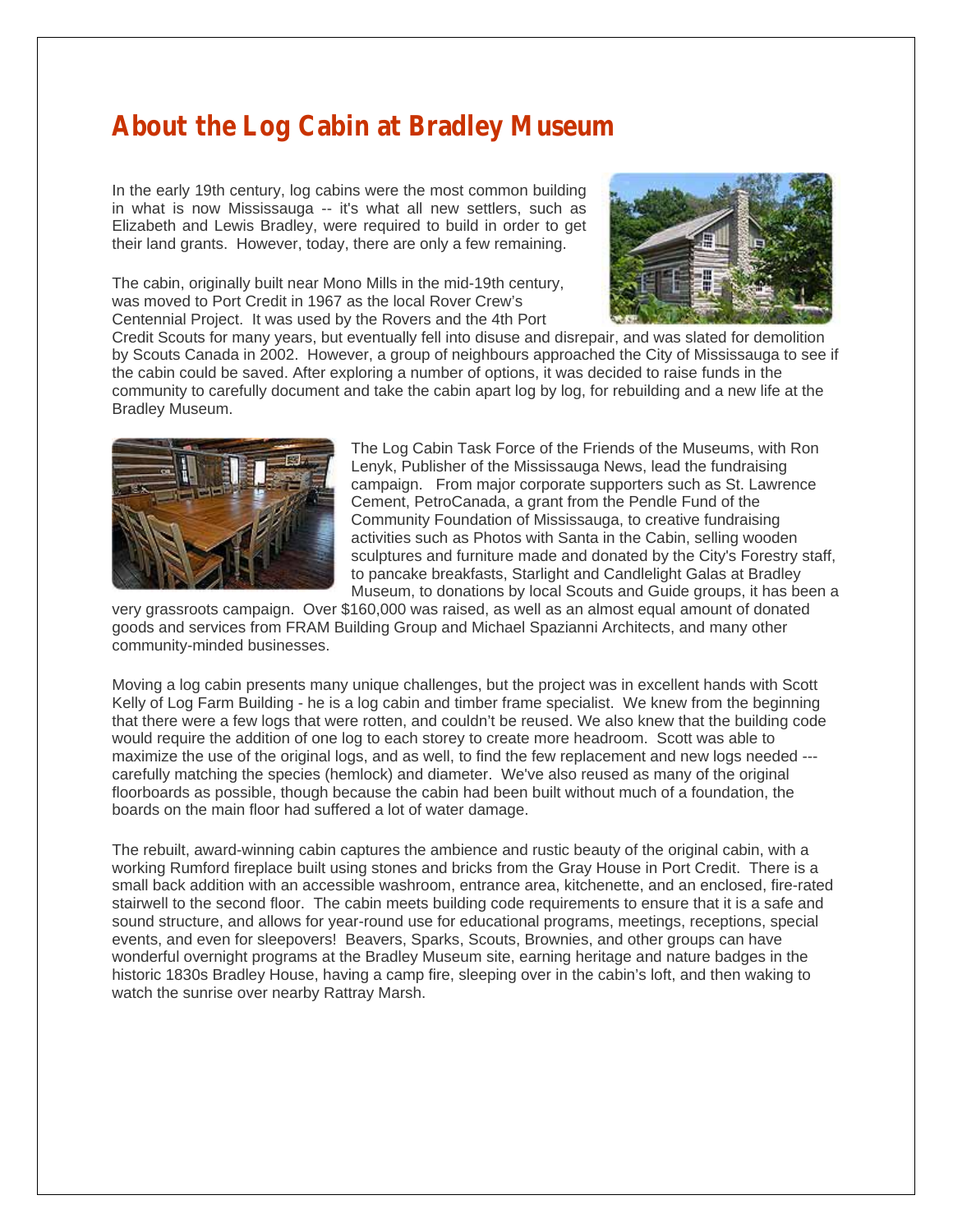## **About the Log Cabin at Bradley Museum**

In the early 19th century, log cabins were the most common building in what is now Mississauga -- it's what all new settlers, such as Elizabeth and Lewis Bradley, were required to build in order to get their land grants. However, today, there are only a few remaining.

The cabin, originally built near Mono Mills in the mid-19th century, was moved to Port Credit in 1967 as the local Rover Crew's Centennial Project. It was used by the Rovers and the 4th Port



Credit Scouts for many years, but eventually fell into disuse and disrepair, and was slated for demolition by Scouts Canada in 2002. However, a group of neighbours approached the City of Mississauga to see if the cabin could be saved. After exploring a number of options, it was decided to raise funds in the community to carefully document and take the cabin apart log by log, for rebuilding and a new life at the Bradley Museum.



The Log Cabin Task Force of the Friends of the Museums, with Ron Lenyk, Publisher of the Mississauga News, lead the fundraising campaign. From major corporate supporters such as St. Lawrence Cement, PetroCanada, a grant from the Pendle Fund of the Community Foundation of Mississauga, to creative fundraising activities such as Photos with Santa in the Cabin, selling wooden sculptures and furniture made and donated by the City's Forestry staff, to pancake breakfasts, Starlight and Candlelight Galas at Bradley Museum, to donations by local Scouts and Guide groups, it has been a

very grassroots campaign. Over \$160,000 was raised, as well as an almost equal amount of donated goods and services from FRAM Building Group and Michael Spazianni Architects, and many other community-minded businesses.

Moving a log cabin presents many unique challenges, but the project was in excellent hands with Scott Kelly of Log Farm Building - he is a log cabin and timber frame specialist. We knew from the beginning that there were a few logs that were rotten, and couldn't be reused. We also knew that the building code would require the addition of one log to each storey to create more headroom. Scott was able to maximize the use of the original logs, and as well, to find the few replacement and new logs needed carefully matching the species (hemlock) and diameter. We've also reused as many of the original floorboards as possible, though because the cabin had been built without much of a foundation, the boards on the main floor had suffered a lot of water damage.

The rebuilt, award-winning cabin captures the ambience and rustic beauty of the original cabin, with a working Rumford fireplace built using stones and bricks from the Gray House in Port Credit. There is a small back addition with an accessible washroom, entrance area, kitchenette, and an enclosed, fire-rated stairwell to the second floor. The cabin meets building code requirements to ensure that it is a safe and sound structure, and allows for year-round use for educational programs, meetings, receptions, special events, and even for sleepovers! Beavers, Sparks, Scouts, Brownies, and other groups can have wonderful overnight programs at the Bradley Museum site, earning heritage and nature badges in the historic 1830s Bradley House, having a camp fire, sleeping over in the cabin's loft, and then waking to watch the sunrise over nearby Rattray Marsh.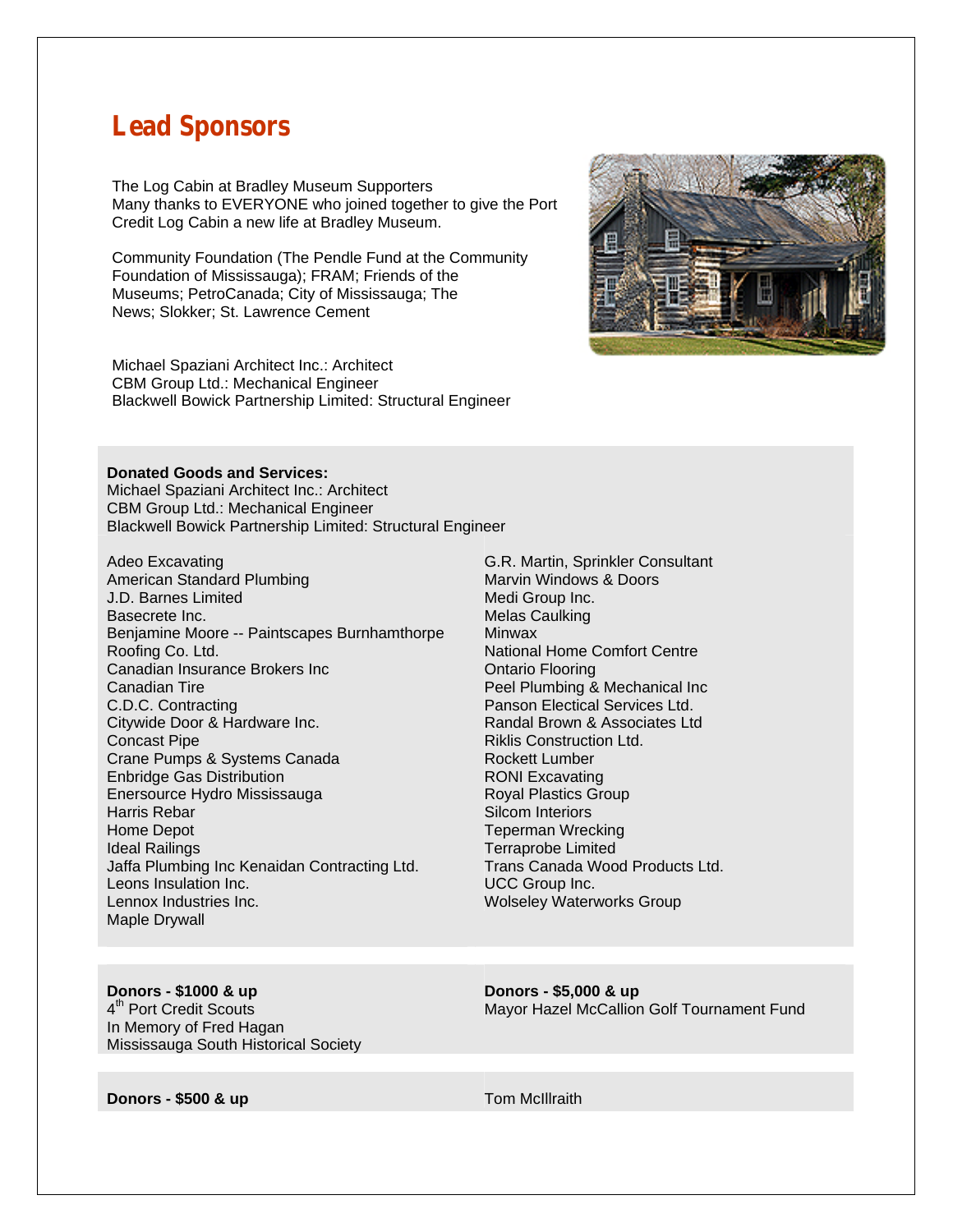### **Lead Sponsors**

The Log Cabin at Bradley Museum Supporters Many thanks to EVERYONE who joined together to give the Port Credit Log Cabin a new life at Bradley Museum.

Community Foundation (The Pendle Fund at the Community Foundation of Mississauga); FRAM; Friends of the Museums; PetroCanada; City of Mississauga; The News; Slokker; St. Lawrence Cement

Michael Spaziani Architect Inc.: Architect CBM Group Ltd.: Mechanical Engineer Blackwell Bowick Partnership Limited: Structural Engineer



#### **Donated Goods and Services:**

Michael Spaziani Architect Inc.: Architect CBM Group Ltd.: Mechanical Engineer Blackwell Bowick Partnership Limited: Structural Engineer

- Adeo Excavating American Standard Plumbing J.D. Barnes Limited Basecrete Inc. Benjamine Moore -- Paintscapes Burnhamthorpe Roofing Co. Ltd. Canadian Insurance Brokers Inc Canadian Tire C.D.C. Contracting Citywide Door & Hardware Inc. Concast Pipe Crane Pumps & Systems Canada Enbridge Gas Distribution Enersource Hydro Mississauga Harris Rebar Home Depot Ideal Railings Jaffa Plumbing Inc Kenaidan Contracting Ltd. Leons Insulation Inc. Lennox Industries Inc. Maple Drywall
- G.R. Martin, Sprinkler Consultant Marvin Windows & Doors Medi Group Inc. Melas Caulking **Minwax** National Home Comfort Centre Ontario Flooring Peel Plumbing & Mechanical Inc Panson Electical Services Ltd. Randal Brown & Associates Ltd Riklis Construction Ltd. Rockett Lumber RONI Excavating Royal Plastics Group Silcom Interiors Teperman Wrecking Terraprobe Limited Trans Canada Wood Products Ltd. UCC Group Inc. Wolseley Waterworks Group

### **Donors - \$1000 & up**

4<sup>th</sup> Port Credit Scouts In Memory of Fred Hagan Mississauga South Historical Society **Donors - \$5,000 & up**  Mayor Hazel McCallion Golf Tournament Fund

**Donors - \$500 & up Tom McIllraith**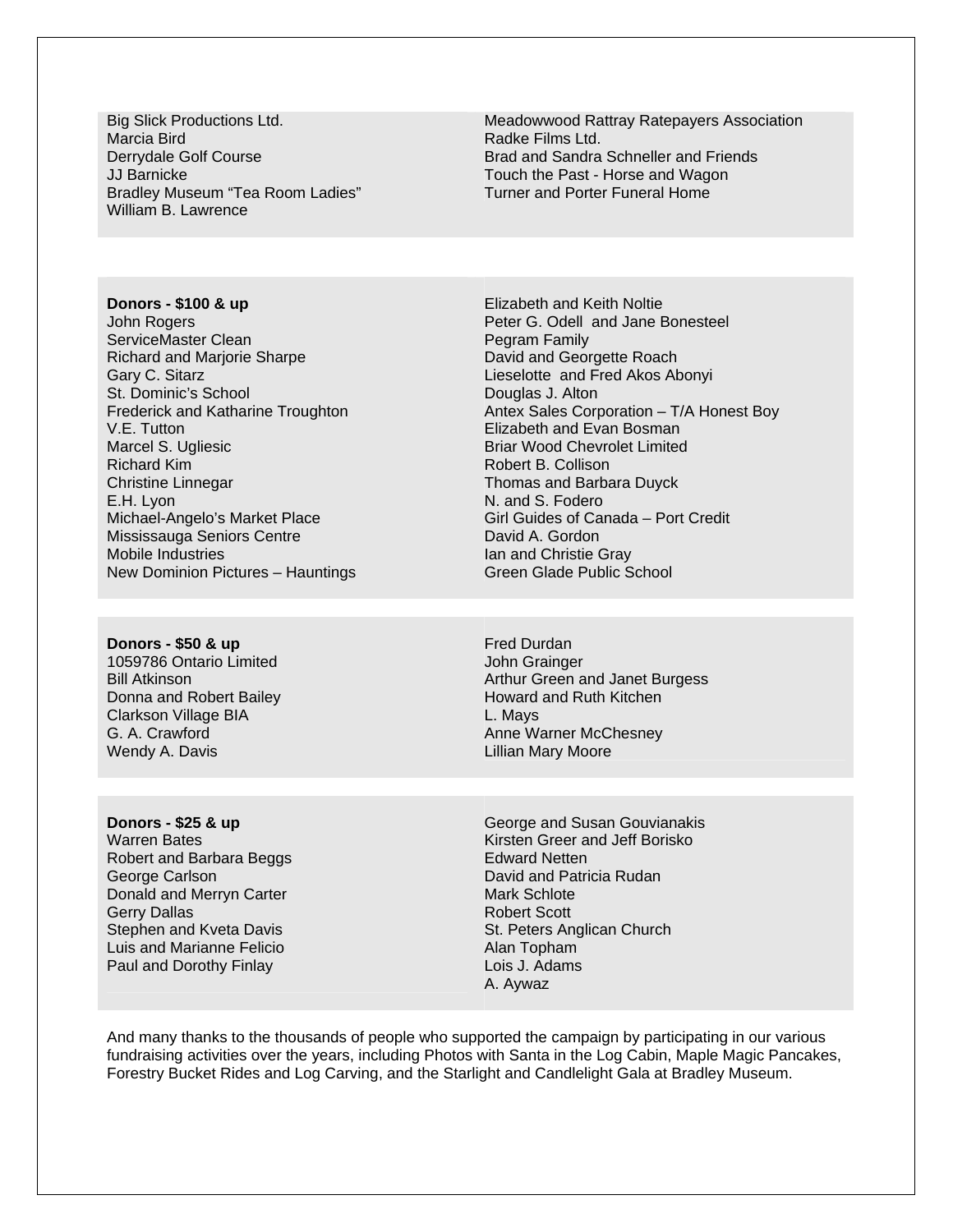Big Slick Productions Ltd. Marcia Bird Derrydale Golf Course JJ Barnicke Bradley Museum "Tea Room Ladies" William B. Lawrence

Meadowwood Rattray Ratepayers Association Radke Films Ltd. Brad and Sandra Schneller and Friends Touch the Past - Horse and Wagon Turner and Porter Funeral Home

**Donors - \$100 & up** John Rogers ServiceMaster Clean Richard and Marjorie Sharpe Gary C. Sitarz St. Dominic's School Frederick and Katharine Troughton V.E. Tutton Marcel S. Ugliesic Richard Kim Christine Linnegar E.H. Lyon Michael-Angelo's Market Place Mississauga Seniors Centre Mobile Industries New Dominion Pictures – Hauntings

Elizabeth and Keith Noltie Peter G. Odell and Jane Bonesteel Pegram Family David and Georgette Roach Lieselotte and Fred Akos Abonyi Douglas J. Alton Antex Sales Corporation – T/A Honest Boy Elizabeth and Evan Bosman Briar Wood Chevrolet Limited Robert B. Collison Thomas and Barbara Duyck N. and S. Fodero Girl Guides of Canada – Port Credit David A. Gordon Ian and Christie Gray Green Glade Public School

**Donors - \$50 & up**  1059786 Ontario Limited Bill Atkinson Donna and Robert Bailey Clarkson Village BIA G. A. Crawford Wendy A. Davis

Fred Durdan John Grainger Arthur Green and Janet Burgess Howard and Ruth Kitchen L. Mays Anne Warner McChesney Lillian Mary Moore

**Donors - \$25 & up**  Warren Bates Robert and Barbara Beggs George Carlson Donald and Merryn Carter Gerry Dallas Stephen and Kveta Davis Luis and Marianne Felicio Paul and Dorothy Finlay

George and Susan Gouvianakis Kirsten Greer and Jeff Borisko Edward Netten David and Patricia Rudan Mark Schlote Robert Scott St. Peters Anglican Church Alan Topham Lois J. Adams A. Aywaz

And many thanks to the thousands of people who supported the campaign by participating in our various fundraising activities over the years, including Photos with Santa in the Log Cabin, Maple Magic Pancakes, Forestry Bucket Rides and Log Carving, and the Starlight and Candlelight Gala at Bradley Museum.